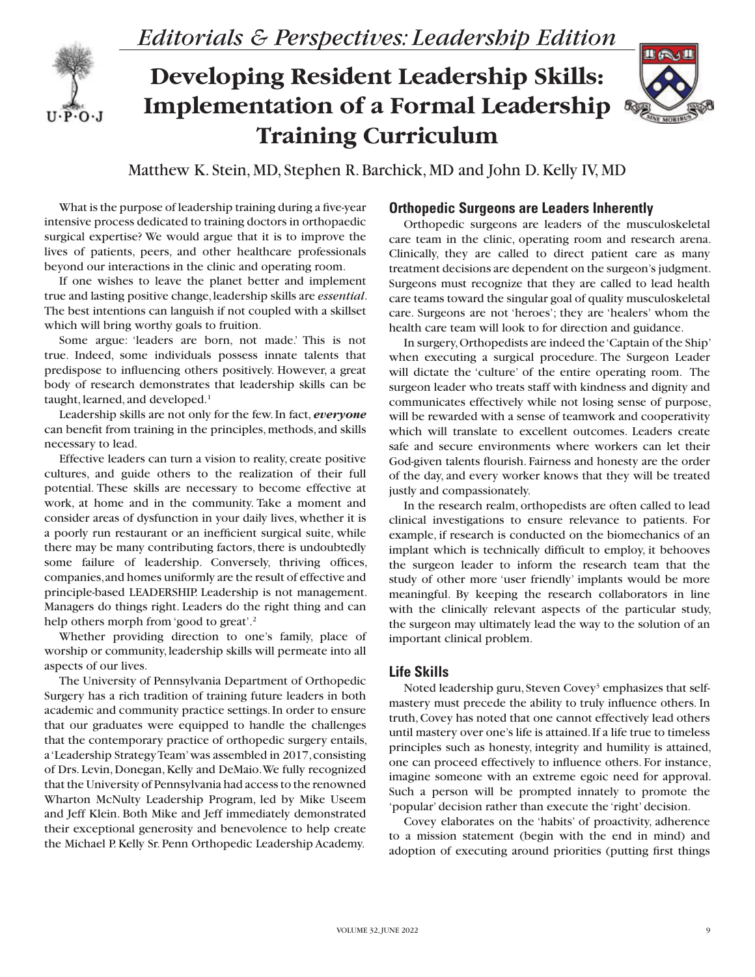

*Editorials & Perspectives: Leadership Edition*

# **Developing Resident Leadership Skills: Implementation of a Formal Leadership Training Curriculum**



Matthew K. Stein, MD, Stephen R. Barchick, MD and John D. Kelly IV, MD

What is the purpose of leadership training during a five-year intensive process dedicated to training doctors in orthopaedic surgical expertise? We would argue that it is to improve the lives of patients, peers, and other healthcare professionals beyond our interactions in the clinic and operating room.

If one wishes to leave the planet better and implement true and lasting positive change, leadership skills are *essential*. The best intentions can languish if not coupled with a skillset which will bring worthy goals to fruition.

Some argue: 'leaders are born, not made.' This is not true. Indeed, some individuals possess innate talents that predispose to influencing others positively. However, a great body of research demonstrates that leadership skills can be taught, learned, and developed.<sup>1</sup>

Leadership skills are not only for the few. In fact, *everyone* can benefit from training in the principles, methods, and skills necessary to lead.

Effective leaders can turn a vision to reality, create positive cultures, and guide others to the realization of their full potential. These skills are necessary to become effective at work, at home and in the community. Take a moment and consider areas of dysfunction in your daily lives, whether it is a poorly run restaurant or an inefficient surgical suite, while there may be many contributing factors, there is undoubtedly some failure of leadership. Conversely, thriving offices, companies, and homes uniformly are the result of effective and principle-based LEADERSHIP. Leadership is not management. Managers do things right. Leaders do the right thing and can help others morph from 'good to great'.<sup>2</sup>

Whether providing direction to one's family, place of worship or community, leadership skills will permeate into all aspects of our lives.

The University of Pennsylvania Department of Orthopedic Surgery has a rich tradition of training future leaders in both academic and community practice settings. In order to ensure that our graduates were equipped to handle the challenges that the contemporary practice of orthopedic surgery entails, a 'Leadership Strategy Team' was assembled in 2017, consisting of Drs. Levin, Donegan, Kelly and DeMaio. We fully recognized that the University of Pennsylvania had access to the renowned Wharton McNulty Leadership Program, led by Mike Useem and Jeff Klein. Both Mike and Jeff immediately demonstrated their exceptional generosity and benevolence to help create the Michael P. Kelly Sr. Penn Orthopedic Leadership Academy.

## **Orthopedic Surgeons are Leaders Inherently**

Orthopedic surgeons are leaders of the musculoskeletal care team in the clinic, operating room and research arena. Clinically, they are called to direct patient care as many treatment decisions are dependent on the surgeon's judgment. Surgeons must recognize that they are called to lead health care teams toward the singular goal of quality musculoskeletal care. Surgeons are not 'heroes'; they are 'healers' whom the health care team will look to for direction and guidance.

In surgery, Orthopedists are indeed the 'Captain of the Ship' when executing a surgical procedure. The Surgeon Leader will dictate the 'culture' of the entire operating room. The surgeon leader who treats staff with kindness and dignity and communicates effectively while not losing sense of purpose, will be rewarded with a sense of teamwork and cooperativity which will translate to excellent outcomes. Leaders create safe and secure environments where workers can let their God-given talents flourish. Fairness and honesty are the order of the day, and every worker knows that they will be treated justly and compassionately.

In the research realm, orthopedists are often called to lead clinical investigations to ensure relevance to patients. For example, if research is conducted on the biomechanics of an implant which is technically difficult to employ, it behooves the surgeon leader to inform the research team that the study of other more 'user friendly' implants would be more meaningful. By keeping the research collaborators in line with the clinically relevant aspects of the particular study, the surgeon may ultimately lead the way to the solution of an important clinical problem.

## **Life Skills**

Noted leadership guru, Steven Covey<sup>3</sup> emphasizes that selfmastery must precede the ability to truly influence others. In truth, Covey has noted that one cannot effectively lead others until mastery over one's life is attained. If a life true to timeless principles such as honesty, integrity and humility is attained, one can proceed effectively to influence others. For instance, imagine someone with an extreme egoic need for approval. Such a person will be prompted innately to promote the 'popular' decision rather than execute the 'right' decision.

Covey elaborates on the 'habits' of proactivity, adherence to a mission statement (begin with the end in mind) and adoption of executing around priorities (putting first things